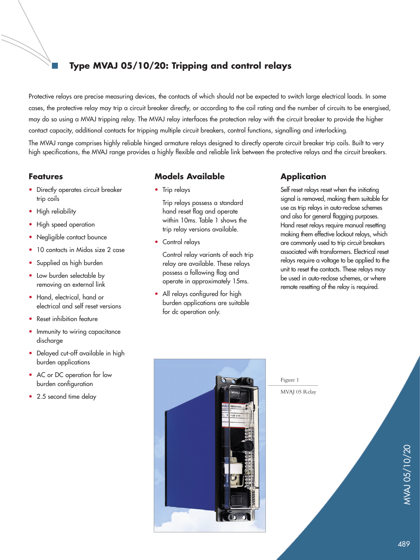# **Type MVAJ 05/10/20: Tripping and control relays**

Protective relays are precise measuring devices, the contacts of which should not be expected to switch large electrical loads. In some cases, the protective relay may trip a circuit breaker directly, or according to the coil rating and the number of circuits to be energised, may do so using a MVAJ tripping relay. The MVAJ relay interfaces the protection relay with the circuit breaker to provide the higher contact capacity, additional contacts for tripping multiple circuit breakers, control functions, signalling and interlocking.

The MVAJ range comprises highly reliable hinged armature relays designed to directly operate circuit breaker trip coils. Built to very high specifications, the MVAJ range provides a highly flexible and reliable link between the protective relays and the circuit breakers.

## **Features**

- Directly operates circuit breaker trip coils
- High reliability
- High speed operation
- Negligible contact bounce
- 10 contacts in Midos size 2 case
- Supplied as high burden
- Low burden selectable by removing an external link
- Hand, electrical, hand or electrical and self reset versions
- Reset inhibition feature
- Immunity to wiring capacitance discharge
- Delayed cut-off available in high burden applications
- AC or DC operation for low burden configuration
- 2.5 second time delay

## **Models Available**

• Trip relays

Trip relays possess a standard hand reset flag and operate within 10ms. Table 1 shows the trip relay versions available.

• Control relays

Control relay variants of each trip relay are available. These relays possess a following flag and operate in approximately 15ms.

• All relays configured for high burden applications are suitable for dc operation only.

# **Application**

Self reset relays reset when the initiating signal is removed, making them suitable for use as trip relays in auto-reclose schemes and also for general flagging purposes. Hand reset relays require manual resetting making them effective lockout relays, which are commonly used to trip circuit breakers associated with transformers. Electrical reset relays require a voltage to be applied to the unit to reset the contacts. These relays may be used in auto-reclose schemes, or where remote resetting of the relay is required.



Figure 1 MVAJ 05 Relay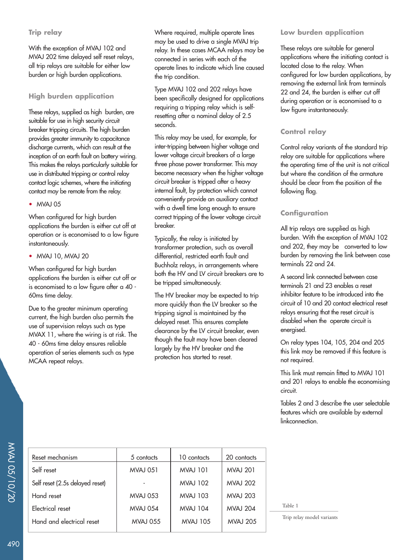### **Trip relay**

With the exception of MVAJ 102 and MVAJ 202 time delayed self reset relays, all trip relays are suitable for either low burden or high burden applications.

## **High burden application**

These relays, supplied as high burden, are suitable for use in high security circuit breaker tripping circuits. The high burden provides greater immunity to capacitance discharge currents, which can result at the inception of an earth fault on battery wiring. This makes the relays particularly suitable for use in distributed tripping or control relay contact logic schemes, where the initiating contact may be remote from the relay.

### • MVAJ 05

When configured for high burden applications the burden is either cut off at operation or is economised to a low figure instantaneously.

### • MVAJ 10, MVAJ 20

When configured for high burden applications the burden is either cut off or is economised to a low figure after a 40 - 60ms time delay.

Due to the greater minimum operating current, the high burden also permits the use of supervision relays such as type MVAX 11, where the wiring is at risk. The 40 - 60ms time delay ensures reliable operation of series elements such as type MCAA repeat relays.

Where required, multiple operate lines may be used to drive a single MVAJ trip relay. In these cases MCAA relays may be connected in series with each of the operate lines to indicate which line caused the trip condition.

Type MVAJ 102 and 202 relays have been specifically designed for applications requiring a tripping relay which is selfresetting after a nominal delay of 2.5 seconds.

This relay may be used, for example, for inter-tripping between higher voltage and lower voltage circuit breakers of a large three phase power transformer. This may become necessary when the higher voltage circuit breaker is tripped after a heavy internal fault, by protection which cannot conveniently provide an auxiliary contact with a dwell time long enough to ensure correct tripping of the lower voltage circuit breaker.

Typically, the relay is initiated by transformer protection, such as overall differential, restricted earth fault and Buchholz relays, in arrangements where both the HV and LV circuit breakers are to be tripped simultaneously.

The HV breaker may be expected to trip more quickly than the LV breaker so the tripping signal is maintained by the delayed reset. This ensures complete clearance by the LV circuit breaker, even though the fault may have been cleared largely by the HV breaker and the protection has started to reset.

### **Low burden application**

These relays are suitable for general applications where the initiating contact is located close to the relay. When configured for low burden applications, by removing the external link from terminals 22 and 24, the burden is either cut off during operation or is economised to a low figure instantaneously.

### **Control relay**

Control relay variants of the standard trip relay are suitable for applications where the operating time of the unit is not critical but where the condition of the armature should be clear from the position of the following flag.

### **Configuration**

All trip relays are supplied as high burden. With the exception of MVAJ 102 and 202, they may be converted to low burden by removing the link between case terminals 22 and 24.

A second link connected between case terminals 21 and 23 enables a reset inhibitor feature to be introduced into the circuit of 10 and 20 contact electrical reset relays ensuring that the reset circuit is disabled when the operate circuit is energised.

On relay types 104, 105, 204 and 205 this link may be removed if this feature is not required.

This link must remain fitted to MVAJ 101 and 201 relays to enable the economising circuit.

Tables 2 and 3 describe the user selectable features which are available by external linkconnection.

| Reset mechanism                 | 5 contacts      | 10 contacts     | 20 contacts     |
|---------------------------------|-----------------|-----------------|-----------------|
| Self reset                      | <b>MVAJ 051</b> | <b>MVAJ 101</b> | <b>MVAJ 201</b> |
| Self reset (2.5s delayed reset) |                 | <b>MVAJ 102</b> | <b>MVAJ 202</b> |
| Hand reset                      | <b>MVAJ 053</b> | <b>MVAJ 103</b> | <b>MVAJ 203</b> |
| Electrical reset                | <b>MVAJ 054</b> | <b>MVAJ 104</b> | <b>MVAJ 204</b> |
| Hand and electrical reset       | <b>MVAJ 055</b> | <b>MVAJ 105</b> | <b>MVAJ 205</b> |
|                                 |                 |                 |                 |

Table 1

Trip relay model variants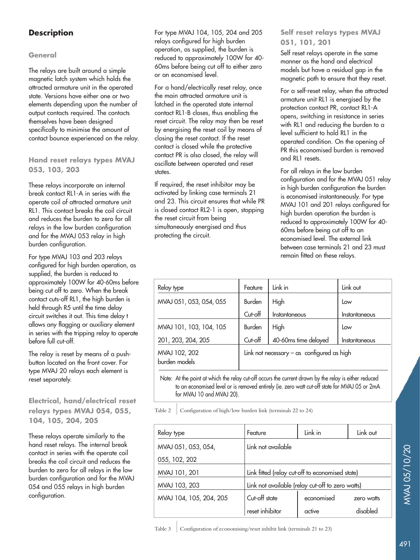# **Description**

### **General**

The relays are built around a simple magnetic latch system which holds the attracted armature unit in the operated state. Versions have either one or two elements depending upon the number of output contacts required. The contacts themselves have been designed specifically to minimise the amount of contact bounce experienced on the relay.

## **Hand reset relays types MVAJ 053, 103, 203**

These relays incorporate an internal break contact RL1-A in series with the operate coil of attracted armature unit RL1. This contact breaks the coil circuit and reduces the burden to zero for all relays in the low burden configuration and for the MVAJ 053 relay in high burden configuration.

For type MVAJ 103 and 203 relays configured for high burden operation, as supplied, the burden is reduced to approximately 100W for 40-60ms before being cut off to zero. When the break contact cuts-off RL1, the high burden is held through R5 until the time delay circuit switches it out. This time delay t allows any flagging or auxiliary element in series with the tripping relay to operate before full cut-off.

The relay is reset by means of a pushbutton located on the front cover. For type MVAJ 20 relays each element is reset separately.

## **Electrical, hand/electrical reset relays types MVAJ 054, 055, 104, 105, 204, 205**

These relays operate similarly to the hand reset relays. The internal break contact in series with the operate coil breaks the coil circuit and reduces the burden to zero for all relays in the low burden configuration and for the MVAJ 054 and 055 relays in high burden configuration.

For type MVAJ 104, 105, 204 and 205 relays configured for high burden operation, as supplied, the burden is reduced to approximately 100W for 40- 60ms before being cut off to either zero or an economised level.

For a hand/electrically reset relay, once the main attracted armature unit is latched in the operated state internal contact RL1-B closes, thus enabling the reset circuit. The relay may then be reset by energising the reset coil by means of closing the reset contact. If the reset contact is closed while the protective contact PR is also closed, the relay will oscillate between operated and reset states.

If required, the reset inhibitor may be activated by linking case terminals 21 and 23. This circuit ensures that while PR is closed contact RL2-1 is open, stopping the reset circuit from being simultaneously energised and thus protecting the circuit.

## **Self reset relays types MVAJ 051, 101, 201**

Self reset relays operate in the same manner as the hand and electrical models but have a residual gap in the magnetic path to ensure that they reset.

For a self-reset relay, when the attracted armature unit RL1 is energised by the protection contact PR, contact RL1-A opens, switching in resistance in series with RL1 and reducing the burden to a level sufficient to hold RL1 in the operated condition. On the opening of PR this economised burden is removed and RL1 resets.

For all relays in the low burden configuration and for the MVAJ 051 relay in high burden configuration the burden is economised instantaneously. For type MVAJ 101 and 201 relays configured for high burden operation the burden is reduced to approximately 100W for 40- 60ms before being cut off to an economised level. The external link between case terminals 21 and 23 must remain fitted on these relays.

| Feature | Link in                            | Link out                                     |
|---------|------------------------------------|----------------------------------------------|
| Burden  | High                               | Low                                          |
| Cut-off | <i><u><b>Instantaneous</b></u></i> | Instantaneous                                |
| Burden  | High                               | Low                                          |
| Cut-off | 40-60ms time delayed               | Instantaneous                                |
|         |                                    |                                              |
|         |                                    | Link not necessary $-$ as configured as high |

Note: At the point at which the relay cut-off occurs the current drawn by the relay is either reduced to an economised level or is removed entirely (ie. zero watt cut-off state for MVAJ 05 or 2mA for MVAJ 10 and MVAJ 20).

Table 2 Configuration of high/low burden link (terminals 22 to 24)

|                         | Feature                                          | Link in    | Link out   |  |
|-------------------------|--------------------------------------------------|------------|------------|--|
| Relay type              |                                                  |            |            |  |
| MVAJ 051, 053, 054,     | Link not available                               |            |            |  |
| 055, 102, 202           |                                                  |            |            |  |
| MVAJ 101, 201           | Link fitted (relay cut-off to economised state)  |            |            |  |
| MVAJ 103, 203           | Link not available (relay cut-off to zero watts) |            |            |  |
| MVAJ 104, 105, 204, 205 | Cut-off state                                    | economised | zero watts |  |
|                         | reset inhibitor                                  | active     | disabled   |  |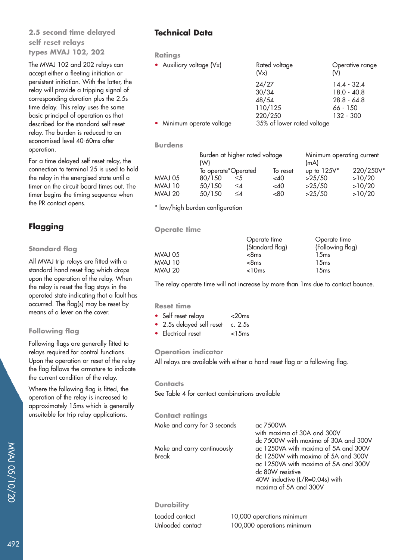## **2.5 second time delayed self reset relays types MVAJ 102, 202**

The MVAJ 102 and 202 relays can accept either a fleeting initiation or persistent initiation. With the latter, the relay will provide a tripping signal of corresponding duration plus the 2.5s time delay. This relay uses the same basic principal of operation as that described for the standard self reset relay. The burden is reduced to an economised level 40-60ms after operation.

For a time delayed self reset relay, the connection to terminal 25 is used to hold the relay in the energised state until a timer on the circuit board times out. The timer begins the timing sequence when the PR contact opens.

# **Flagging**

### **Standard flag**

All MVAJ trip relays are fitted with a standard hand reset flag which drops upon the operation of the relay. When the relay is reset the flag stays in the operated state indicating that a fault has occurred. The flag(s) may be reset by means of a lever on the cover.

## **Following flag**

Following flags are generally fitted to relays required for control functions. Upon the operation or reset of the relay the flag follows the armature to indicate the current condition of the relay.

Where the following flag is fitted, the operation of the relay is increased to approximately 15ms which is generally unsuitable for trip relay applications.

# **Technical Data**

**Ratings**

| • Auxiliary voltage (Vx)  | Rated voltage<br>(Vx)      | Operative range<br>(V) |
|---------------------------|----------------------------|------------------------|
|                           | 24/27                      | $14.4 - 32.4$          |
|                           | 30/34                      | $18.0 - 40.8$          |
|                           | 48/54                      | $28.8 - 64.8$          |
|                           | 110/125                    | 66 - 150               |
|                           | 220/250                    | 132 - 300              |
| • Minimum operate voltage | 35% of lower rated voltage |                        |

#### **Burdens**

|         | (W)                           | Burden at higher rated voltage |                    | Minimum operating current<br>(mA) |                     |  |
|---------|-------------------------------|--------------------------------|--------------------|-----------------------------------|---------------------|--|
| MVAJ 05 | To operate*Operated<br>80/150 | $\leq 5$                       | To reset<br>$<$ 40 | up to $125V^*$<br>>25/50          | 220/250V*<br>>10/20 |  |
| MVAJ 10 | 50/150                        | ≤4                             | <40                | >25/50                            | >10/20              |  |
| MVAJ 20 | 50/150                        | $\leq$                         | < 80               | >25/50                            | >10/20              |  |

\* low/high burden configuration

**Operate time**

|         | Operate time    | Operate time     |
|---------|-----------------|------------------|
|         | (Standard flag) | (Following flag) |
| MVAJ 05 | $<$ 8 $ms$      | 15ms             |
| MVAJ 10 | $<$ 8 $ms$      | 15ms             |
| MVAJ 20 | < 10ms          | 15ms             |
|         |                 |                  |

The relay operate time will not increase by more than 1ms due to contact bounce.

### **Reset time**

| • Self reset relays               | $<$ 20 $ms$ |
|-----------------------------------|-------------|
| • 2.5s delayed self reset c. 2.5s |             |
| • Electrical reset                | $<$ 15 $ms$ |

### **Operation indicator**

All relays are available with either a hand reset flag or a following flag.

#### **Contacts**

See Table 4 for contact combinations available

#### **Contact ratings**

| Make and carry for 3 seconds                | ac 7500VA<br>with maxima of 30A and 300V<br>dc 7500W with maxima of 30A and 300V                                                                                                                   |
|---------------------------------------------|----------------------------------------------------------------------------------------------------------------------------------------------------------------------------------------------------|
| Make and carry continuously<br><b>Break</b> | ac 1250VA with maxima of 5A and 300V<br>dc 1250W with maxima of 5A and 300V<br>ac 1250VA with maxima of 5A and 300V<br>dc 80W resistive<br>40W inductive (L/R=0.04s) with<br>maxima of 5A and 300V |
| <b>Durability</b>                           |                                                                                                                                                                                                    |
| Loaded contact                              | 10,000 operations minimum                                                                                                                                                                          |
| Unloaded contact                            | 100,000 operations minimum                                                                                                                                                                         |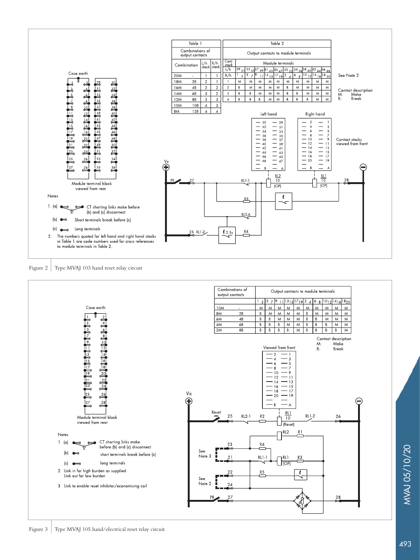

MVAJ 05/10/20

**MVAJ 05/10/20**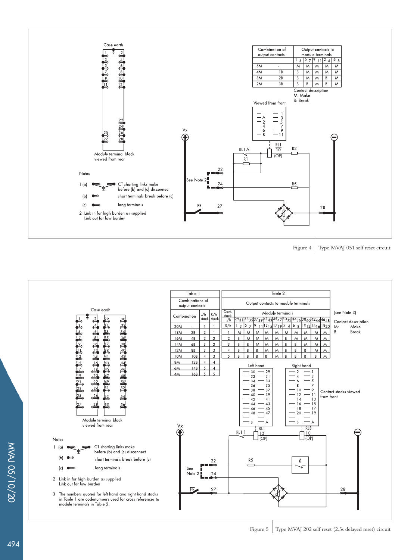

Figure 4 Type MVAJ 051 self reset circuit

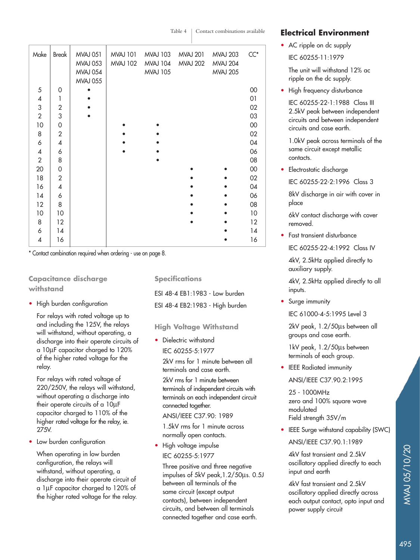Table 4 | Contact combinations available

| Make                     | Break          | <b>MVAJ 051</b> | <b>MVAJ 101</b> | <b>MVAJ 103</b> | <b>MVAJ 201</b> | <b>MVAJ 203</b> | $CC^*$ |
|--------------------------|----------------|-----------------|-----------------|-----------------|-----------------|-----------------|--------|
|                          |                | <b>MVAJ 053</b> | <b>MVAJ 102</b> | <b>MVAJ 104</b> | <b>MVAJ 202</b> | <b>MVAJ 204</b> |        |
|                          |                | <b>MVAJ 054</b> |                 | <b>MVAJ 105</b> |                 | <b>MVAJ 205</b> |        |
|                          |                | <b>MVAJ 055</b> |                 |                 |                 |                 |        |
| 5                        | 0              |                 |                 |                 |                 |                 | $00\,$ |
| $\pmb{4}$                | 1              |                 |                 |                 |                 |                 | 01     |
| 3                        | $\overline{2}$ |                 |                 |                 |                 |                 | 02     |
| $\overline{2}$           | 3              |                 |                 |                 |                 |                 | 03     |
| 10                       | 0              |                 |                 |                 |                 |                 | $00\,$ |
| 8                        | $\overline{2}$ |                 |                 |                 |                 |                 | 02     |
| 6                        | 4              |                 |                 |                 |                 |                 | 04     |
| $\overline{\mathcal{A}}$ | 6              |                 |                 |                 |                 |                 | 06     |
| $\overline{2}$           | 8              |                 |                 |                 |                 |                 | 08     |
| 20                       | 0              |                 |                 |                 |                 |                 | $00\,$ |
| 18                       | $\overline{2}$ |                 |                 |                 |                 |                 | 02     |
| 16                       | 4              |                 |                 |                 |                 |                 | 04     |
| 14                       | 6              |                 |                 |                 |                 |                 | 06     |
| 12                       | 8              |                 |                 |                 |                 |                 | 08     |
| 10                       | 10             |                 |                 |                 |                 |                 | 10     |
| 8                        | 12             |                 |                 |                 |                 |                 | 12     |
| 6                        | 14             |                 |                 |                 |                 |                 | 14     |
| $\overline{\mathcal{A}}$ | 16             |                 |                 |                 |                 |                 | 16     |
|                          |                |                 |                 |                 |                 |                 |        |

\* Contact combination required when ordering - use on page 8.

## **Capacitance discharge withstand**

• High burden configuration

For relays with rated voltage up to and including the 125V, the relays will withstand, without operating, a discharge into their operate circuits of a 10µF capacitor charged to 120% of the higher rated voltage for the relay.

For relays with rated voltage of 220/250V, the relays will withstand, without operating a discharge into their operate circuits of a 10µF capacitor charged to 110% of the higher rated voltage for the relay, ie. 275V.

• Low burden configuration

When operating in low burden configuration, the relays will withstand, without operating, a discharge into their operate circuit of a 1µF capacitor charged to 120% of the higher rated voltage for the relay. **Specifications**

ESI 48-4 EB1:1983 - Low burden ESI 48-4 EB2:1983 - High burden

### **High Voltage Withstand**

• Dielectric withstand IEC 60255-5:1977

> 2kV rms for 1 minute between all terminals and case earth.

2kV rms for 1 minute between terminals of independent circuits with terminals on each independent circuit connected together.

### ANSI/IEEE C37.90: 1989

1.5kV rms for 1 minute across normally open contacts.

• High voltage impulse

## IEC 60255-5:1977

Three positive and three negative impulses of 5kV peak,1.2/50µs. 0.5J between all terminals of the same circuit (except output contacts), between independent circuits, and between all terminals connected together and case earth.

## **Electrical Environment**

• AC ripple on dc supply

IEC 60255-11:1979

The unit will withstand 12% ac ripple on the dc supply.

• High frequency disturbance

IEC 60255-22-1:1988 Class III 2.5kV peak between independent circuits and between independent circuits and case earth.

1.0kV peak across terminals of the same circuit except metallic contacts.

• Electrostatic discharge

IEC 60255-22-2:1996 Class 3

8kV discharge in air with cover in place

6kV contact discharge with cover removed.

• Fast transient disturbance IEC 60255-22-4:1992 Class IV

4kV, 2.5kHz applied directly to auxiliary supply.

4kV, 2.5kHz applied directly to all inputs.

• Surge immunity

IEC 61000-4-5:1995 Level 3

2kV peak, 1.2/50µs between all groups and case earth.

1kV peak, 1.2/50µs between terminals of each group.

• IEEE Radiated immunity ANSI/IEEE C37.90.2:1995

25 - 1000MHz zero and 100% square wave modulated Field strength 35V/m

• IEEE Surge withstand capability (SWC)

ANSI/IEEE C37.90.1:1989

4kV fast transient and 2.5kV oscillatory applied directly to each input and earth

4kV fast transient and 2.5kV oscillatory applied directly across each output contact, opto input and power supply circuit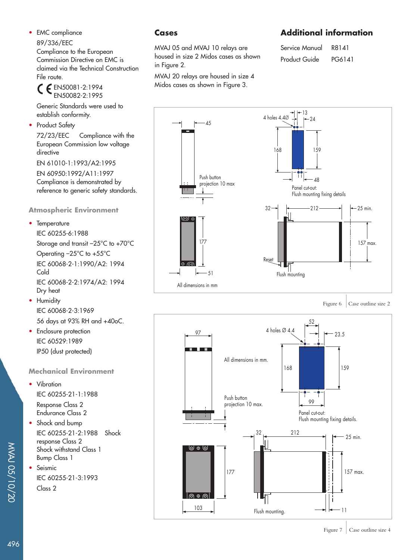• EMC compliance

### 89/336/EEC

Compliance to the European Commission Directive on EMC is claimed via the Technical Construction File route.

EN50081-2:1994 EN50082-2:1995

Generic Standards were used to establish conformity.

• Product Safety

72/23/EEC Compliance with the European Commission low voltage directive

EN 61010-1:1993/A2:1995

EN 60950:1992/A11:1997 Compliance is demonstrated by reference to generic safety standards.

### **Atmospheric Environment**

• Temperature

IEC 60255-6:1988 Storage and transit –25°C to +70°C Operating –25°C to +55°C IEC 60068-2-1:1990/A2: 1994 Cold IEC 60068-2-2:1974/A2: 1994 Dry heat

• Humidity IEC 60068-2-3:1969 56 days at 93% RH and +40oC.

• Enclosure protection IEC 60529:1989 IP50 (dust protected)

### **Mechanical Environment**

• Vibration IEC 60255-21-1:1988

Response Class 2 Endurance Class 2

- Shock and bump IEC 60255-21-2:1988 Shock response Class 2 Shock withstand Class 1 Bump Class 1
- Seismic IEC 60255-21-3:1993 Class 2

## **Cases**

MVAJ 05 and MVAJ 10 relays are housed in size 2 Midos cases as shown in Figure 2.

MVAJ 20 relays are housed in size 4 Midos cases as shown in Figure 3.

# **Additional information**

Service Manual R8141 Product Guide PG6141



Figure  $6 \mid$  Case outline size 2